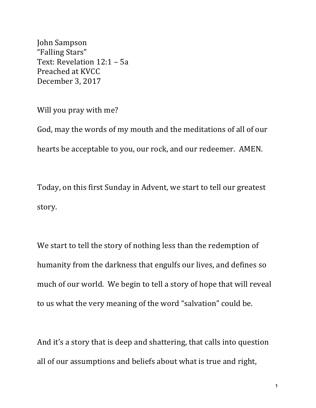John Sampson "Falling Stars" Text: Revelation 12:1 - 5a Preached at KVCC December 3, 2017

Will you pray with me?

God, may the words of my mouth and the meditations of all of our hearts be acceptable to you, our rock, and our redeemer. AMEN.

Today, on this first Sunday in Advent, we start to tell our greatest story.

We start to tell the story of nothing less than the redemption of humanity from the darkness that engulfs our lives, and defines so much of our world. We begin to tell a story of hope that will reveal to us what the very meaning of the word "salvation" could be.

And it's a story that is deep and shattering, that calls into question all of our assumptions and beliefs about what is true and right,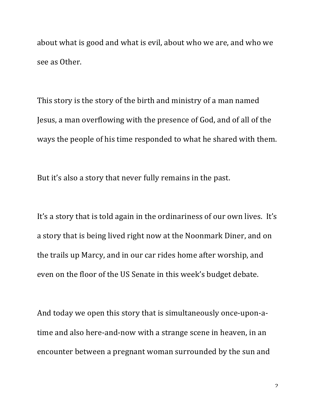about what is good and what is evil, about who we are, and who we see as Other.

This story is the story of the birth and ministry of a man named Jesus, a man overflowing with the presence of God, and of all of the ways the people of his time responded to what he shared with them.

But it's also a story that never fully remains in the past.

It's a story that is told again in the ordinariness of our own lives. It's a story that is being lived right now at the Noonmark Diner, and on the trails up Marcy, and in our car rides home after worship, and even on the floor of the US Senate in this week's budget debate.

And today we open this story that is simultaneously once-upon-atime and also here-and-now with a strange scene in heaven, in an encounter between a pregnant woman surrounded by the sun and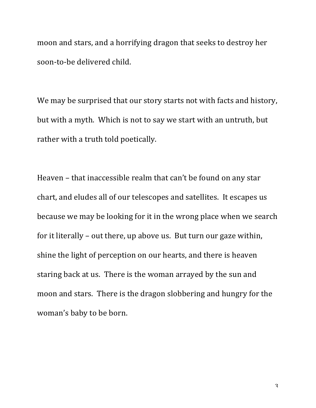moon and stars, and a horrifying dragon that seeks to destroy her soon-to-be delivered child.

We may be surprised that our story starts not with facts and history, but with a myth. Which is not to say we start with an untruth, but rather with a truth told poetically.

Heaven - that inaccessible realm that can't be found on any star chart, and eludes all of our telescopes and satellites. It escapes us because we may be looking for it in the wrong place when we search for it literally – out there, up above us. But turn our gaze within, shine the light of perception on our hearts, and there is heaven staring back at us. There is the woman arrayed by the sun and moon and stars. There is the dragon slobbering and hungry for the woman's baby to be born.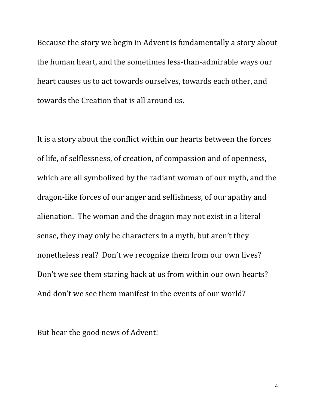Because the story we begin in Advent is fundamentally a story about the human heart, and the sometimes less-than-admirable ways our heart causes us to act towards ourselves, towards each other, and towards the Creation that is all around us.

It is a story about the conflict within our hearts between the forces of life, of selflessness, of creation, of compassion and of openness, which are all symbolized by the radiant woman of our myth, and the dragon-like forces of our anger and selfishness, of our apathy and alienation. The woman and the dragon may not exist in a literal sense, they may only be characters in a myth, but aren't they nonetheless real? Don't we recognize them from our own lives? Don't we see them staring back at us from within our own hearts? And don't we see them manifest in the events of our world?

But hear the good news of Advent!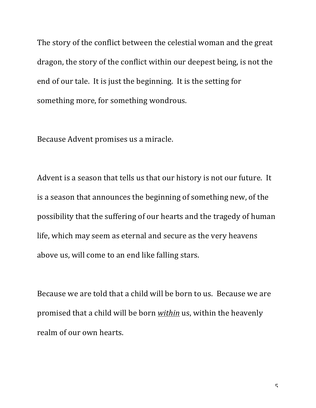The story of the conflict between the celestial woman and the great dragon, the story of the conflict within our deepest being, is not the end of our tale. It is just the beginning. It is the setting for something more, for something wondrous.

Because Advent promises us a miracle.

Advent is a season that tells us that our history is not our future. It is a season that announces the beginning of something new, of the possibility that the suffering of our hearts and the tragedy of human life, which may seem as eternal and secure as the very heavens above us, will come to an end like falling stars.

Because we are told that a child will be born to us. Because we are promised that a child will be born *within* us, within the heavenly realm of our own hearts.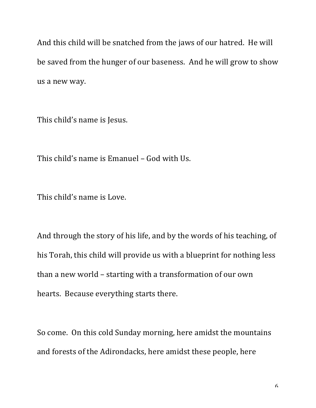And this child will be snatched from the jaws of our hatred. He will be saved from the hunger of our baseness. And he will grow to show us a new way.

This child's name is Jesus.

This child's name is Emanuel - God with Us.

This child's name is Love.

And through the story of his life, and by the words of his teaching, of his Torah, this child will provide us with a blueprint for nothing less than a new world - starting with a transformation of our own hearts. Because everything starts there.

So come. On this cold Sunday morning, here amidst the mountains and forests of the Adirondacks, here amidst these people, here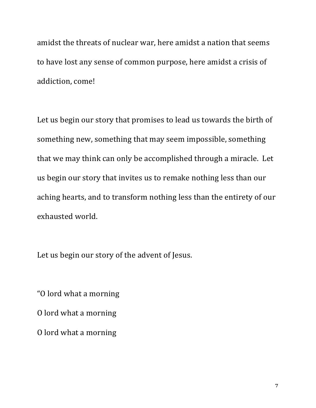amidst the threats of nuclear war, here amidst a nation that seems to have lost any sense of common purpose, here amidst a crisis of addiction, come!

Let us begin our story that promises to lead us towards the birth of something new, something that may seem impossible, something that we may think can only be accomplished through a miracle. Let us begin our story that invites us to remake nothing less than our aching hearts, and to transform nothing less than the entirety of our exhausted world.

Let us begin our story of the advent of Jesus.

"O lord what a morning

O lord what a morning

O lord what a morning